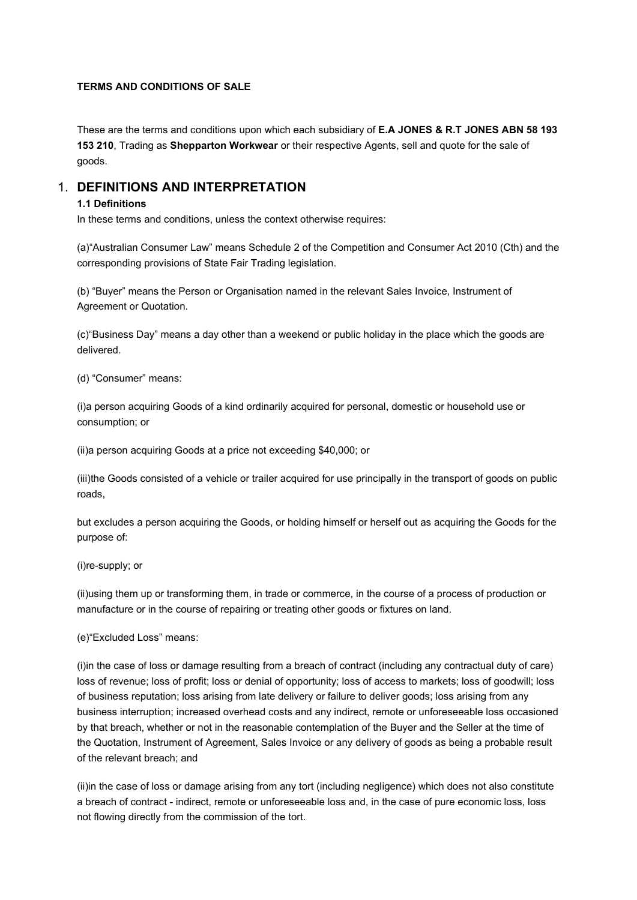#### TERMS AND CONDITIONS OF SALE

These are the terms and conditions upon which each subsidiary of E.A JONES & R.T JONES ABN 58 193 153 210, Trading as Shepparton Workwear or their respective Agents, sell and quote for the sale of goods.

## 1. DEFINITIONS AND INTERPRETATION

#### 1.1 Definitions

In these terms and conditions, unless the context otherwise requires:

(a)"Australian Consumer Law" means Schedule 2 of the Competition and Consumer Act 2010 (Cth) and the corresponding provisions of State Fair Trading legislation.

(b) "Buyer" means the Person or Organisation named in the relevant Sales Invoice, Instrument of Agreement or Quotation.

(c)"Business Day" means a day other than a weekend or public holiday in the place which the goods are delivered.

(d) "Consumer" means:

(i)a person acquiring Goods of a kind ordinarily acquired for personal, domestic or household use or consumption; or

(ii)a person acquiring Goods at a price not exceeding \$40,000; or

(iii)the Goods consisted of a vehicle or trailer acquired for use principally in the transport of goods on public roads,

but excludes a person acquiring the Goods, or holding himself or herself out as acquiring the Goods for the purpose of:

(i)re-supply; or

(ii)using them up or transforming them, in trade or commerce, in the course of a process of production or manufacture or in the course of repairing or treating other goods or fixtures on land.

(e)"Excluded Loss" means:

(i)in the case of loss or damage resulting from a breach of contract (including any contractual duty of care) loss of revenue; loss of profit; loss or denial of opportunity; loss of access to markets; loss of goodwill; loss of business reputation; loss arising from late delivery or failure to deliver goods; loss arising from any business interruption; increased overhead costs and any indirect, remote or unforeseeable loss occasioned by that breach, whether or not in the reasonable contemplation of the Buyer and the Seller at the time of the Quotation, Instrument of Agreement, Sales Invoice or any delivery of goods as being a probable result of the relevant breach; and

(ii)in the case of loss or damage arising from any tort (including negligence) which does not also constitute a breach of contract - indirect, remote or unforeseeable loss and, in the case of pure economic loss, loss not flowing directly from the commission of the tort.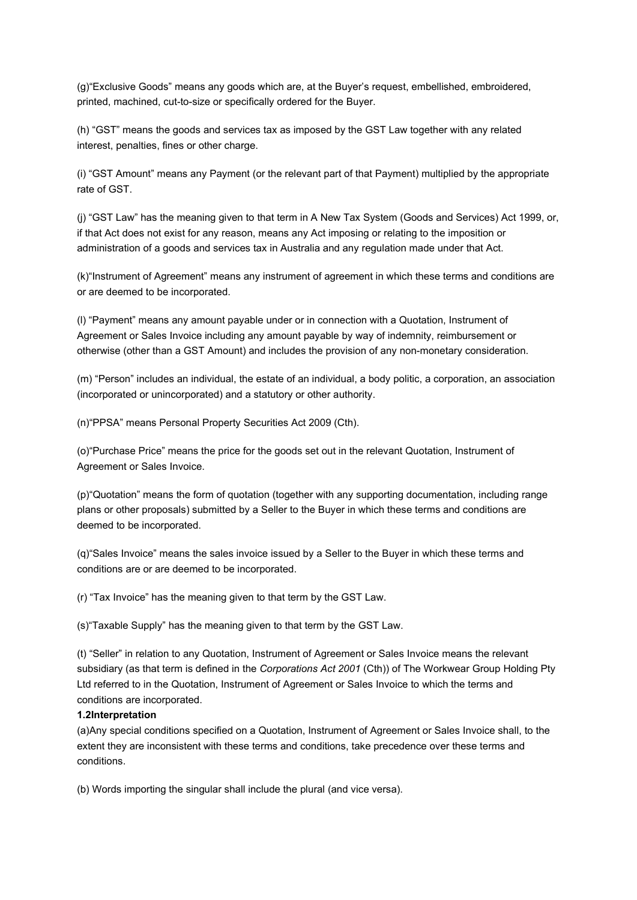(g)"Exclusive Goods" means any goods which are, at the Buyer's request, embellished, embroidered, printed, machined, cut-to-size or specifically ordered for the Buyer.

(h) "GST" means the goods and services tax as imposed by the GST Law together with any related interest, penalties, fines or other charge.

(i) "GST Amount" means any Payment (or the relevant part of that Payment) multiplied by the appropriate rate of GST.

(j) "GST Law" has the meaning given to that term in A New Tax System (Goods and Services) Act 1999, or, if that Act does not exist for any reason, means any Act imposing or relating to the imposition or administration of a goods and services tax in Australia and any regulation made under that Act.

(k)"Instrument of Agreement" means any instrument of agreement in which these terms and conditions are or are deemed to be incorporated.

(l) "Payment" means any amount payable under or in connection with a Quotation, Instrument of Agreement or Sales Invoice including any amount payable by way of indemnity, reimbursement or otherwise (other than a GST Amount) and includes the provision of any non-monetary consideration.

(m) "Person" includes an individual, the estate of an individual, a body politic, a corporation, an association (incorporated or unincorporated) and a statutory or other authority.

(n)"PPSA" means Personal Property Securities Act 2009 (Cth).

(o)"Purchase Price" means the price for the goods set out in the relevant Quotation, Instrument of Agreement or Sales Invoice.

(p)"Quotation" means the form of quotation (together with any supporting documentation, including range plans or other proposals) submitted by a Seller to the Buyer in which these terms and conditions are deemed to be incorporated.

(q)"Sales Invoice" means the sales invoice issued by a Seller to the Buyer in which these terms and conditions are or are deemed to be incorporated.

(r) "Tax Invoice" has the meaning given to that term by the GST Law.

(s)"Taxable Supply" has the meaning given to that term by the GST Law.

(t) "Seller" in relation to any Quotation, Instrument of Agreement or Sales Invoice means the relevant subsidiary (as that term is defined in the Corporations Act 2001 (Cth)) of The Workwear Group Holding Pty Ltd referred to in the Quotation, Instrument of Agreement or Sales Invoice to which the terms and conditions are incorporated.

### 1.2Interpretation

(a)Any special conditions specified on a Quotation, Instrument of Agreement or Sales Invoice shall, to the extent they are inconsistent with these terms and conditions, take precedence over these terms and conditions.

(b) Words importing the singular shall include the plural (and vice versa).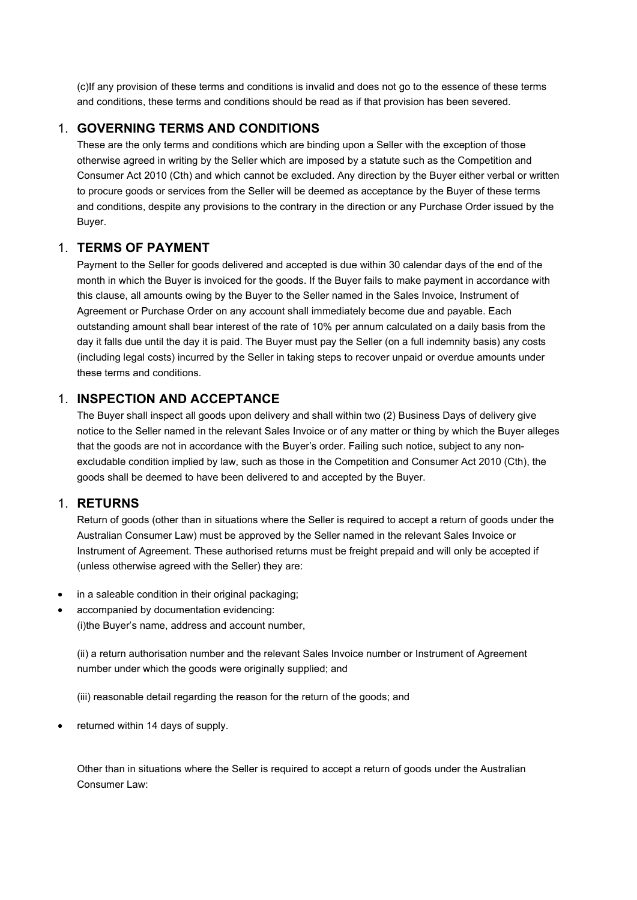(c)If any provision of these terms and conditions is invalid and does not go to the essence of these terms and conditions, these terms and conditions should be read as if that provision has been severed.

# 1. GOVERNING TERMS AND CONDITIONS

These are the only terms and conditions which are binding upon a Seller with the exception of those otherwise agreed in writing by the Seller which are imposed by a statute such as the Competition and Consumer Act 2010 (Cth) and which cannot be excluded. Any direction by the Buyer either verbal or written to procure goods or services from the Seller will be deemed as acceptance by the Buyer of these terms and conditions, despite any provisions to the contrary in the direction or any Purchase Order issued by the Buyer.

# 1. TERMS OF PAYMENT

Payment to the Seller for goods delivered and accepted is due within 30 calendar days of the end of the month in which the Buyer is invoiced for the goods. If the Buyer fails to make payment in accordance with this clause, all amounts owing by the Buyer to the Seller named in the Sales Invoice, Instrument of Agreement or Purchase Order on any account shall immediately become due and payable. Each outstanding amount shall bear interest of the rate of 10% per annum calculated on a daily basis from the day it falls due until the day it is paid. The Buyer must pay the Seller (on a full indemnity basis) any costs (including legal costs) incurred by the Seller in taking steps to recover unpaid or overdue amounts under these terms and conditions.

# 1. INSPECTION AND ACCEPTANCE

The Buyer shall inspect all goods upon delivery and shall within two (2) Business Days of delivery give notice to the Seller named in the relevant Sales Invoice or of any matter or thing by which the Buyer alleges that the goods are not in accordance with the Buyer's order. Failing such notice, subject to any nonexcludable condition implied by law, such as those in the Competition and Consumer Act 2010 (Cth), the goods shall be deemed to have been delivered to and accepted by the Buyer.

# 1. RETURNS

Return of goods (other than in situations where the Seller is required to accept a return of goods under the Australian Consumer Law) must be approved by the Seller named in the relevant Sales Invoice or Instrument of Agreement. These authorised returns must be freight prepaid and will only be accepted if (unless otherwise agreed with the Seller) they are:

- in a saleable condition in their original packaging;
- accompanied by documentation evidencing: (i)the Buyer's name, address and account number,

(ii) a return authorisation number and the relevant Sales Invoice number or Instrument of Agreement number under which the goods were originally supplied; and

(iii) reasonable detail regarding the reason for the return of the goods; and

returned within 14 days of supply.

Other than in situations where the Seller is required to accept a return of goods under the Australian Consumer Law: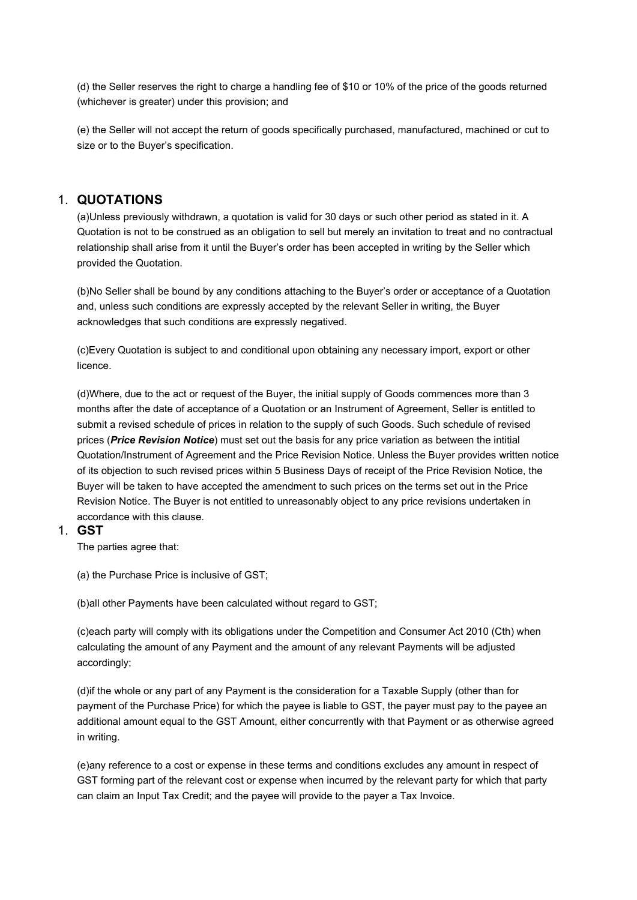(d) the Seller reserves the right to charge a handling fee of \$10 or 10% of the price of the goods returned (whichever is greater) under this provision; and

(e) the Seller will not accept the return of goods specifically purchased, manufactured, machined or cut to size or to the Buyer's specification.

# 1. QUOTATIONS

(a)Unless previously withdrawn, a quotation is valid for 30 days or such other period as stated in it. A Quotation is not to be construed as an obligation to sell but merely an invitation to treat and no contractual relationship shall arise from it until the Buyer's order has been accepted in writing by the Seller which provided the Quotation.

(b)No Seller shall be bound by any conditions attaching to the Buyer's order or acceptance of a Quotation and, unless such conditions are expressly accepted by the relevant Seller in writing, the Buyer acknowledges that such conditions are expressly negatived.

(c)Every Quotation is subject to and conditional upon obtaining any necessary import, export or other licence.

(d)Where, due to the act or request of the Buyer, the initial supply of Goods commences more than 3 months after the date of acceptance of a Quotation or an Instrument of Agreement, Seller is entitled to submit a revised schedule of prices in relation to the supply of such Goods. Such schedule of revised prices (**Price Revision Notice**) must set out the basis for any price variation as between the intitial Quotation/Instrument of Agreement and the Price Revision Notice. Unless the Buyer provides written notice of its objection to such revised prices within 5 Business Days of receipt of the Price Revision Notice, the Buyer will be taken to have accepted the amendment to such prices on the terms set out in the Price Revision Notice. The Buyer is not entitled to unreasonably object to any price revisions undertaken in accordance with this clause.

### 1. GST

The parties agree that:

(a) the Purchase Price is inclusive of GST;

(b)all other Payments have been calculated without regard to GST;

(c)each party will comply with its obligations under the Competition and Consumer Act 2010 (Cth) when calculating the amount of any Payment and the amount of any relevant Payments will be adjusted accordingly;

(d)if the whole or any part of any Payment is the consideration for a Taxable Supply (other than for payment of the Purchase Price) for which the payee is liable to GST, the payer must pay to the payee an additional amount equal to the GST Amount, either concurrently with that Payment or as otherwise agreed in writing.

(e)any reference to a cost or expense in these terms and conditions excludes any amount in respect of GST forming part of the relevant cost or expense when incurred by the relevant party for which that party can claim an Input Tax Credit; and the payee will provide to the payer a Tax Invoice.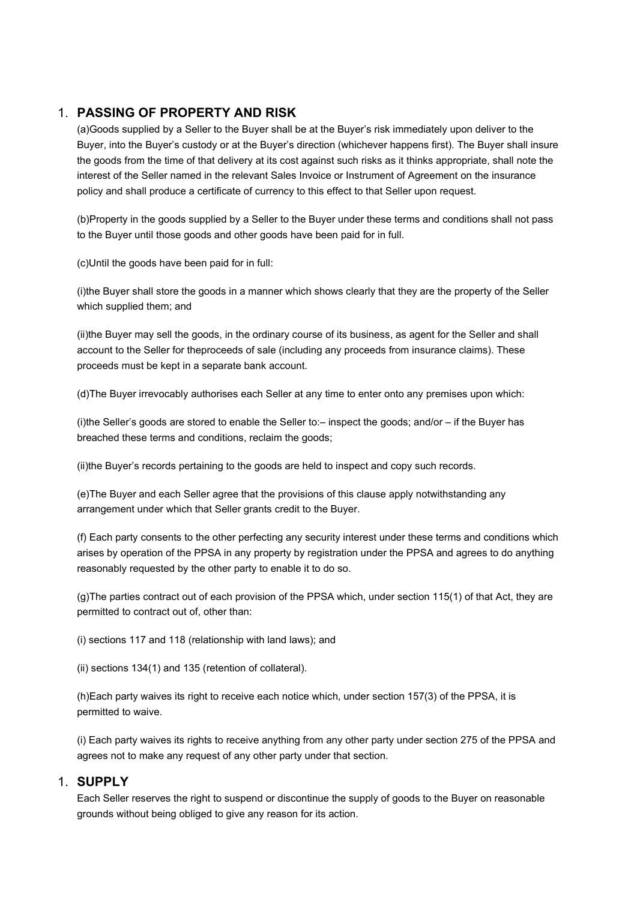# 1. PASSING OF PROPERTY AND RISK

(a)Goods supplied by a Seller to the Buyer shall be at the Buyer's risk immediately upon deliver to the Buyer, into the Buyer's custody or at the Buyer's direction (whichever happens first). The Buyer shall insure the goods from the time of that delivery at its cost against such risks as it thinks appropriate, shall note the interest of the Seller named in the relevant Sales Invoice or Instrument of Agreement on the insurance policy and shall produce a certificate of currency to this effect to that Seller upon request.

(b)Property in the goods supplied by a Seller to the Buyer under these terms and conditions shall not pass to the Buyer until those goods and other goods have been paid for in full.

(c)Until the goods have been paid for in full:

(i)the Buyer shall store the goods in a manner which shows clearly that they are the property of the Seller which supplied them; and

(ii)the Buyer may sell the goods, in the ordinary course of its business, as agent for the Seller and shall account to the Seller for theproceeds of sale (including any proceeds from insurance claims). These proceeds must be kept in a separate bank account.

(d)The Buyer irrevocably authorises each Seller at any time to enter onto any premises upon which:

(i)the Seller's goods are stored to enable the Seller to:– inspect the goods; and/or – if the Buyer has breached these terms and conditions, reclaim the goods;

(ii)the Buyer's records pertaining to the goods are held to inspect and copy such records.

(e)The Buyer and each Seller agree that the provisions of this clause apply notwithstanding any arrangement under which that Seller grants credit to the Buyer.

(f) Each party consents to the other perfecting any security interest under these terms and conditions which arises by operation of the PPSA in any property by registration under the PPSA and agrees to do anything reasonably requested by the other party to enable it to do so.

(g)The parties contract out of each provision of the PPSA which, under section 115(1) of that Act, they are permitted to contract out of, other than:

(i) sections 117 and 118 (relationship with land laws); and

(ii) sections 134(1) and 135 (retention of collateral).

(h)Each party waives its right to receive each notice which, under section 157(3) of the PPSA, it is permitted to waive.

(i) Each party waives its rights to receive anything from any other party under section 275 of the PPSA and agrees not to make any request of any other party under that section.

## 1. SUPPLY

Each Seller reserves the right to suspend or discontinue the supply of goods to the Buyer on reasonable grounds without being obliged to give any reason for its action.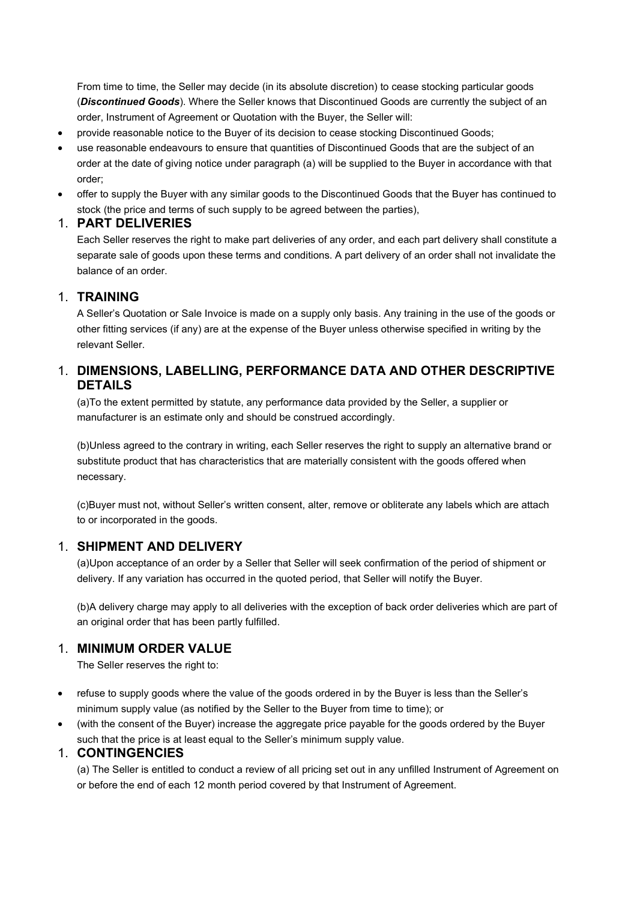From time to time, the Seller may decide (in its absolute discretion) to cease stocking particular goods (Discontinued Goods). Where the Seller knows that Discontinued Goods are currently the subject of an order, Instrument of Agreement or Quotation with the Buyer, the Seller will:

- provide reasonable notice to the Buyer of its decision to cease stocking Discontinued Goods;
- use reasonable endeavours to ensure that quantities of Discontinued Goods that are the subject of an order at the date of giving notice under paragraph (a) will be supplied to the Buyer in accordance with that order;
- offer to supply the Buyer with any similar goods to the Discontinued Goods that the Buyer has continued to stock (the price and terms of such supply to be agreed between the parties),

## 1. PART DELIVERIES

Each Seller reserves the right to make part deliveries of any order, and each part delivery shall constitute a separate sale of goods upon these terms and conditions. A part delivery of an order shall not invalidate the balance of an order.

## 1. TRAINING

A Seller's Quotation or Sale Invoice is made on a supply only basis. Any training in the use of the goods or other fitting services (if any) are at the expense of the Buyer unless otherwise specified in writing by the relevant Seller.

# 1. DIMENSIONS, LABELLING, PERFORMANCE DATA AND OTHER DESCRIPTIVE DETAILS

(a)To the extent permitted by statute, any performance data provided by the Seller, a supplier or manufacturer is an estimate only and should be construed accordingly.

(b)Unless agreed to the contrary in writing, each Seller reserves the right to supply an alternative brand or substitute product that has characteristics that are materially consistent with the goods offered when necessary.

(c)Buyer must not, without Seller's written consent, alter, remove or obliterate any labels which are attach to or incorporated in the goods.

# 1. SHIPMENT AND DELIVERY

(a)Upon acceptance of an order by a Seller that Seller will seek confirmation of the period of shipment or delivery. If any variation has occurred in the quoted period, that Seller will notify the Buyer.

(b)A delivery charge may apply to all deliveries with the exception of back order deliveries which are part of an original order that has been partly fulfilled.

# 1. MINIMUM ORDER VALUE

The Seller reserves the right to:

- refuse to supply goods where the value of the goods ordered in by the Buyer is less than the Seller's minimum supply value (as notified by the Seller to the Buyer from time to time); or
- (with the consent of the Buyer) increase the aggregate price payable for the goods ordered by the Buyer such that the price is at least equal to the Seller's minimum supply value.

# 1. CONTINGENCIES

(a) The Seller is entitled to conduct a review of all pricing set out in any unfilled Instrument of Agreement on or before the end of each 12 month period covered by that Instrument of Agreement.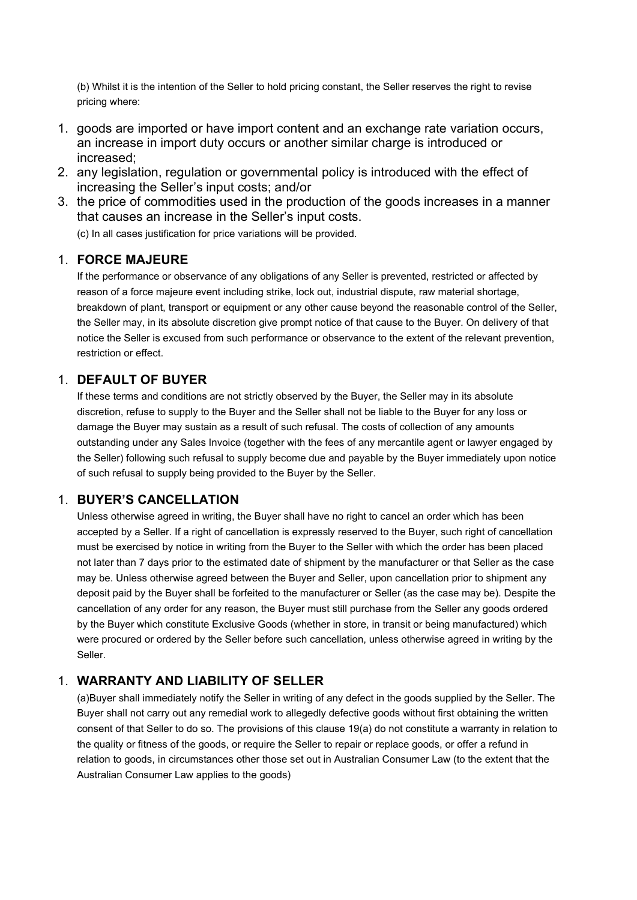(b) Whilst it is the intention of the Seller to hold pricing constant, the Seller reserves the right to revise pricing where:

- 1. goods are imported or have import content and an exchange rate variation occurs, an increase in import duty occurs or another similar charge is introduced or increased;
- 2. any legislation, regulation or governmental policy is introduced with the effect of increasing the Seller's input costs; and/or
- 3. the price of commodities used in the production of the goods increases in a manner that causes an increase in the Seller's input costs.

(c) In all cases justification for price variations will be provided.

# 1. FORCE MAJEURE

If the performance or observance of any obligations of any Seller is prevented, restricted or affected by reason of a force majeure event including strike, lock out, industrial dispute, raw material shortage, breakdown of plant, transport or equipment or any other cause beyond the reasonable control of the Seller, the Seller may, in its absolute discretion give prompt notice of that cause to the Buyer. On delivery of that notice the Seller is excused from such performance or observance to the extent of the relevant prevention, restriction or effect.

# 1. DEFAULT OF BUYER

If these terms and conditions are not strictly observed by the Buyer, the Seller may in its absolute discretion, refuse to supply to the Buyer and the Seller shall not be liable to the Buyer for any loss or damage the Buyer may sustain as a result of such refusal. The costs of collection of any amounts outstanding under any Sales Invoice (together with the fees of any mercantile agent or lawyer engaged by the Seller) following such refusal to supply become due and payable by the Buyer immediately upon notice of such refusal to supply being provided to the Buyer by the Seller.

# 1. BUYER'S CANCELLATION

Unless otherwise agreed in writing, the Buyer shall have no right to cancel an order which has been accepted by a Seller. If a right of cancellation is expressly reserved to the Buyer, such right of cancellation must be exercised by notice in writing from the Buyer to the Seller with which the order has been placed not later than 7 days prior to the estimated date of shipment by the manufacturer or that Seller as the case may be. Unless otherwise agreed between the Buyer and Seller, upon cancellation prior to shipment any deposit paid by the Buyer shall be forfeited to the manufacturer or Seller (as the case may be). Despite the cancellation of any order for any reason, the Buyer must still purchase from the Seller any goods ordered by the Buyer which constitute Exclusive Goods (whether in store, in transit or being manufactured) which were procured or ordered by the Seller before such cancellation, unless otherwise agreed in writing by the Seller.

# 1. WARRANTY AND LIABILITY OF SELLER

(a)Buyer shall immediately notify the Seller in writing of any defect in the goods supplied by the Seller. The Buyer shall not carry out any remedial work to allegedly defective goods without first obtaining the written consent of that Seller to do so. The provisions of this clause 19(a) do not constitute a warranty in relation to the quality or fitness of the goods, or require the Seller to repair or replace goods, or offer a refund in relation to goods, in circumstances other those set out in Australian Consumer Law (to the extent that the Australian Consumer Law applies to the goods)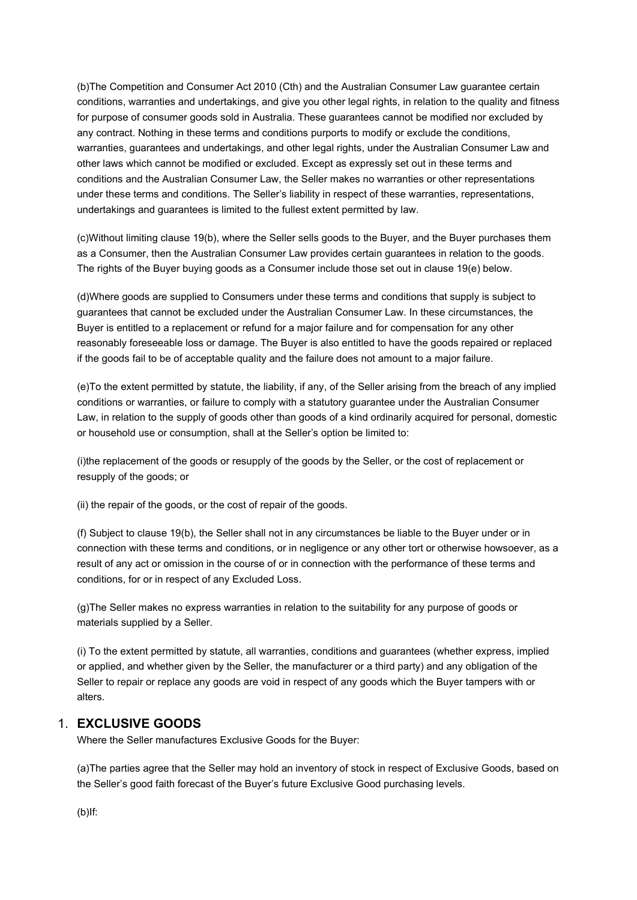(b)The Competition and Consumer Act 2010 (Cth) and the Australian Consumer Law guarantee certain conditions, warranties and undertakings, and give you other legal rights, in relation to the quality and fitness for purpose of consumer goods sold in Australia. These guarantees cannot be modified nor excluded by any contract. Nothing in these terms and conditions purports to modify or exclude the conditions, warranties, guarantees and undertakings, and other legal rights, under the Australian Consumer Law and other laws which cannot be modified or excluded. Except as expressly set out in these terms and conditions and the Australian Consumer Law, the Seller makes no warranties or other representations under these terms and conditions. The Seller's liability in respect of these warranties, representations, undertakings and guarantees is limited to the fullest extent permitted by law.

(c)Without limiting clause 19(b), where the Seller sells goods to the Buyer, and the Buyer purchases them as a Consumer, then the Australian Consumer Law provides certain guarantees in relation to the goods. The rights of the Buyer buying goods as a Consumer include those set out in clause 19(e) below.

(d)Where goods are supplied to Consumers under these terms and conditions that supply is subject to guarantees that cannot be excluded under the Australian Consumer Law. In these circumstances, the Buyer is entitled to a replacement or refund for a major failure and for compensation for any other reasonably foreseeable loss or damage. The Buyer is also entitled to have the goods repaired or replaced if the goods fail to be of acceptable quality and the failure does not amount to a major failure.

(e)To the extent permitted by statute, the liability, if any, of the Seller arising from the breach of any implied conditions or warranties, or failure to comply with a statutory guarantee under the Australian Consumer Law, in relation to the supply of goods other than goods of a kind ordinarily acquired for personal, domestic or household use or consumption, shall at the Seller's option be limited to:

(i)the replacement of the goods or resupply of the goods by the Seller, or the cost of replacement or resupply of the goods; or

(ii) the repair of the goods, or the cost of repair of the goods.

(f) Subject to clause 19(b), the Seller shall not in any circumstances be liable to the Buyer under or in connection with these terms and conditions, or in negligence or any other tort or otherwise howsoever, as a result of any act or omission in the course of or in connection with the performance of these terms and conditions, for or in respect of any Excluded Loss.

(g)The Seller makes no express warranties in relation to the suitability for any purpose of goods or materials supplied by a Seller.

(i) To the extent permitted by statute, all warranties, conditions and guarantees (whether express, implied or applied, and whether given by the Seller, the manufacturer or a third party) and any obligation of the Seller to repair or replace any goods are void in respect of any goods which the Buyer tampers with or alters.

## 1. EXCLUSIVE GOODS

Where the Seller manufactures Exclusive Goods for the Buyer:

(a)The parties agree that the Seller may hold an inventory of stock in respect of Exclusive Goods, based on the Seller's good faith forecast of the Buyer's future Exclusive Good purchasing levels.

(b)If: